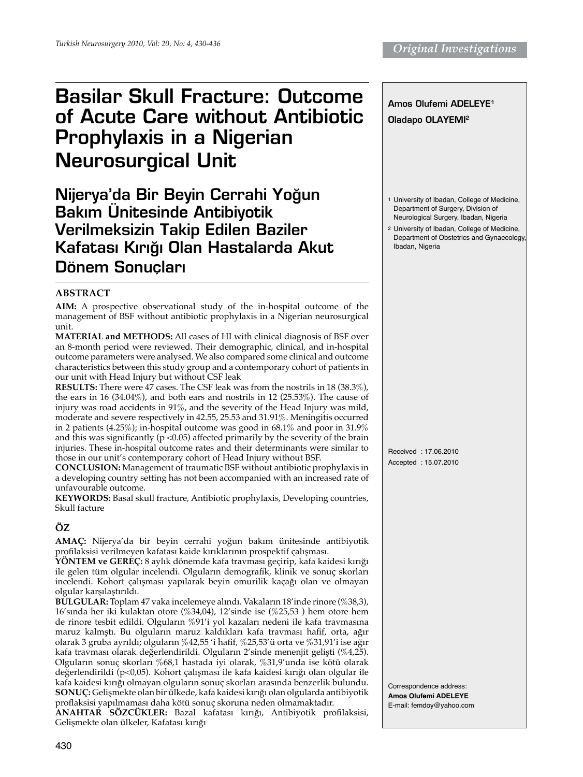# Basilar Skull Fracture: Outcome of Acute Care without Antibiotic Prophylaxis in a Nigerian Neurosurgical Unit

Nijerya'da Bir Beyin Cerrahi Yoğun **Bakım Ünitesinde Antibiyotik** Verilmeksizin Takip Edilen Baziler Kafatası Kırığı Olan Hastalarda Akut Dönem Sonucları

## **ABSTRACT**

**Aim:** A prospective observational study of the in-hospital outcome of the management of BSF without antibiotic prophylaxis in a Nigerian neurosurgical unit.

**Material and Methods:** All cases of HI with clinical diagnosis of BSF over an 8-month period were reviewed. Their demographic, clinical, and in-hospital outcome parameters were analysed. We also compared some clinical and outcome characteristics between this study group and a contemporary cohort of patients in our unit with Head Injury but without CSF leak

**Results:** There were 47 cases. The CSF leak was from the nostrils in 18 (38.3%), the ears in 16 (34.04%), and both ears and nostrils in 12 (25.53%). The cause of injury was road accidents in 91%, and the severity of the Head Injury was mild, moderate and severe respectively in 42.55, 25.53 and 31.91%. Meningitis occurred in 2 patients (4.25%); in-hospital outcome was good in 68.1% and poor in 31.9% and this was significantly ( $p$  <0.05) affected primarily by the severity of the brain injuries. These in-hospital outcome rates and their determinants were similar to those in our unit's contemporary cohort of Head Injury without BSF.

**Conclusion:** Management of traumatic BSF without antibiotic prophylaxis in a developing country setting has not been accompanied with an increased rate of unfavourable outcome.

**Keywords:** Basal skull fracture, Antibiotic prophylaxis, Developing countries, Skull facture

# **ÖZ**

**Amaç:** Nijerya'da bir beyin cerrahi yoğun bakım ünitesinde antibiyotik profilaksisi verilmeyen kafatası kaide kırıklarının prospektif çalışması.

**Yöntem ve Gereç:** 8 aylık dönemde kafa travması geçirip, kafa kaidesi kırığı ile gelen tüm olgular incelendi. Olguların demografik, klinik ve sonuç skorları incelendi. Kohort çalışması yapılarak beyin omurilik kaçağı olan ve olmayan olgular karşılaştırıldı.

**Bulgular:** Toplam 47 vaka incelemeye alındı. Vakaların 18'inde rinore (%38,3), 16'sında her iki kulaktan otore (%34,04), 12'sinde ise (%25,53 ) hem otore hem de rinore tesbit edildi. Olguların %91'i yol kazaları nedeni ile kafa travmasına maruz kalmştı. Bu olguların maruz kaldıkları kafa travması hafif, orta, ağır olarak 3 gruba ayrıldı; olguların %42,55 'i hafif, %25,53'ü orta ve %31,91'i ise ağır kafa travması olarak değerlendirildi. Olguların 2'sinde menenjit gelişti (%4,25). Olguların sonuç skorları %68,1 hastada iyi olarak, %31,9'unda ise kötü olarak değerlendirildi (p<0,05). Kohort çalışması ile kafa kaidesi kırığı olan olgular ile kafa kaidesi kırığı olmayan olguların sonuç skorları arasında benzerlik bulundu. **Sonuç:** Gelişmekte olan bir ülkede, kafa kaidesi kırığı olan olgularda antibiyotik proflaksisi yapılmaması daha kötü sonuç skoruna neden olmamaktadır.

**ANAHTAR SÖZCÜKLER:** Bazal kafatası kırığı, Antibiyotik profilaksisi, Gelişmekte olan ülkeler, Kafatası kırığı



Correspondence address: **Amos Olufemi Adeleye**  E-mail: femdoy@yahoo.com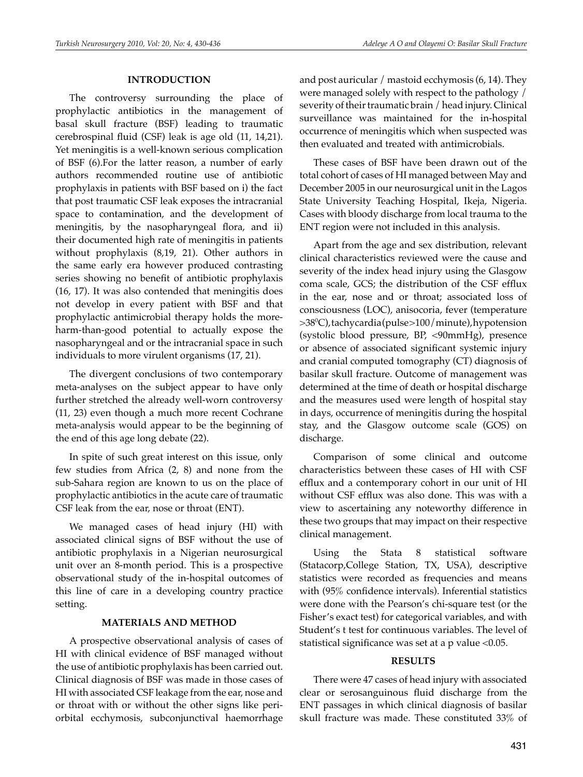#### **INTRODUCTION**

The controversy surrounding the place of prophylactic antibiotics in the management of basal skull fracture (BSF) leading to traumatic cerebrospinal fluid (CSF) leak is age old (11, 14,21). Yet meningitis is a well-known serious complication of BSF (6).For the latter reason, a number of early authors recommended routine use of antibiotic prophylaxis in patients with BSF based on i) the fact that post traumatic CSF leak exposes the intracranial space to contamination, and the development of meningitis, by the nasopharyngeal flora, and ii) their documented high rate of meningitis in patients without prophylaxis (8,19, 21). Other authors in the same early era however produced contrasting series showing no benefit of antibiotic prophylaxis (16, 17). It was also contended that meningitis does not develop in every patient with BSF and that prophylactic antimicrobial therapy holds the moreharm-than-good potential to actually expose the nasopharyngeal and or the intracranial space in such individuals to more virulent organisms (17, 21).

The divergent conclusions of two contemporary meta-analyses on the subject appear to have only further stretched the already well-worn controversy (11, 23) even though a much more recent Cochrane meta-analysis would appear to be the beginning of the end of this age long debate (22).

In spite of such great interest on this issue, only few studies from Africa (2, 8) and none from the sub-Sahara region are known to us on the place of prophylactic antibiotics in the acute care of traumatic CSF leak from the ear, nose or throat (ENT).

We managed cases of head injury (HI) with associated clinical signs of BSF without the use of antibiotic prophylaxis in a Nigerian neurosurgical unit over an 8-month period. This is a prospective observational study of the in-hospital outcomes of this line of care in a developing country practice setting.

#### **MATERIALS AND METHOD**

A prospective observational analysis of cases of HI with clinical evidence of BSF managed without the use of antibiotic prophylaxis has been carried out. Clinical diagnosis of BSF was made in those cases of HI with associated CSF leakage from the ear, nose and or throat with or without the other signs like periorbital ecchymosis, subconjunctival haemorrhage

and post auricular / mastoid ecchymosis (6, 14). They were managed solely with respect to the pathology / severity of their traumatic brain / head injury. Clinical surveillance was maintained for the in-hospital occurrence of meningitis which when suspected was then evaluated and treated with antimicrobials.

These cases of BSF have been drawn out of the total cohort of cases of HI managed between May and December 2005 in our neurosurgical unit in the Lagos State University Teaching Hospital, Ikeja, Nigeria. Cases with bloody discharge from local trauma to the ENT region were not included in this analysis.

Apart from the age and sex distribution, relevant clinical characteristics reviewed were the cause and severity of the index head injury using the Glasgow coma scale, GCS; the distribution of the CSF efflux in the ear, nose and or throat; associated loss of consciousness (LOC), anisocoria, fever (temperature >380 C), tachycardia (pulse >100/minute), hypotension (systolic blood pressure, BP, <90mmHg), presence or absence of associated significant systemic injury and cranial computed tomography (CT) diagnosis of basilar skull fracture. Outcome of management was determined at the time of death or hospital discharge and the measures used were length of hospital stay in days, occurrence of meningitis during the hospital stay, and the Glasgow outcome scale (GOS) on discharge.

Comparison of some clinical and outcome characteristics between these cases of HI with CSF efflux and a contemporary cohort in our unit of HI without CSF efflux was also done. This was with a view to ascertaining any noteworthy difference in these two groups that may impact on their respective clinical management.

Using the Stata 8 statistical software (Statacorp,College Station, TX, USA), descriptive statistics were recorded as frequencies and means with (95% confidence intervals). Inferential statistics were done with the Pearson's chi-square test (or the Fisher's exact test) for categorical variables, and with Student's t test for continuous variables. The level of statistical significance was set at a p value <0.05.

#### **RESULTS**

There were 47 cases of head injury with associated clear or serosanguinous fluid discharge from the ENT passages in which clinical diagnosis of basilar skull fracture was made. These constituted 33% of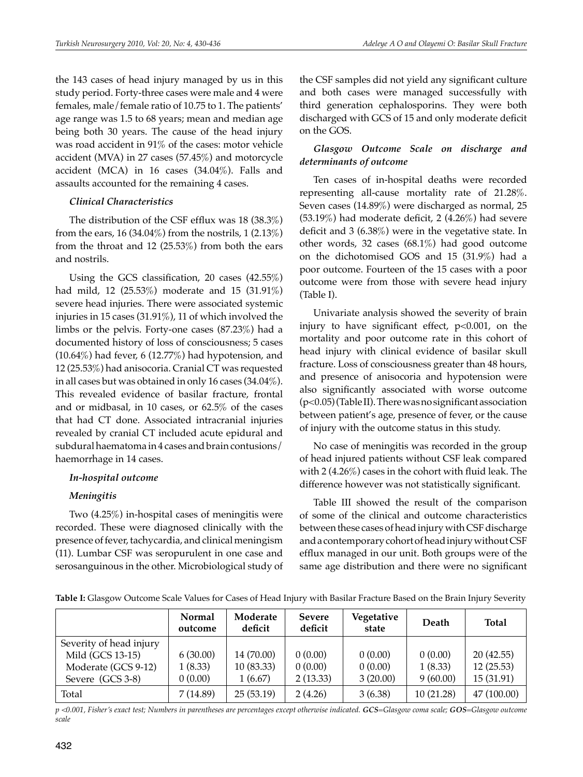the 143 cases of head injury managed by us in this study period. Forty-three cases were male and 4 were females, male/female ratio of 10.75 to 1. The patients' age range was 1.5 to 68 years; mean and median age being both 30 years. The cause of the head injury was road accident in 91% of the cases: motor vehicle accident (MVA) in 27 cases (57.45%) and motorcycle accident (MCA) in 16 cases (34.04%). Falls and assaults accounted for the remaining 4 cases.

## *Clinical Characteristics*

The distribution of the CSF efflux was 18 (38.3%) from the ears, 16 (34.04%) from the nostrils, 1 (2.13%) from the throat and 12 (25.53%) from both the ears and nostrils.

Using the GCS classification, 20 cases (42.55%) had mild, 12 (25.53%) moderate and 15 (31.91%) severe head injuries. There were associated systemic injuries in 15 cases (31.91%), 11 of which involved the limbs or the pelvis. Forty-one cases (87.23%) had a documented history of loss of consciousness; 5 cases  $(10.64\%)$  had fever, 6  $(12.77\%)$  had hypotension, and 12 (25.53%) had anisocoria. Cranial CT was requested in all cases but was obtained in only 16 cases (34.04%). This revealed evidence of basilar fracture, frontal and or midbasal, in 10 cases, or 62.5% of the cases that had CT done. Associated intracranial injuries revealed by cranial CT included acute epidural and subdural haematoma in 4 cases and brain contusions/ haemorrhage in 14 cases.

## *In-hospital outcome*

## *Meningitis*

Two (4.25%) in-hospital cases of meningitis were recorded. These were diagnosed clinically with the presence of fever, tachycardia, and clinical meningism (11). Lumbar CSF was seropurulent in one case and serosanguinous in the other. Microbiological study of

the CSF samples did not yield any significant culture and both cases were managed successfully with third generation cephalosporins. They were both discharged with GCS of 15 and only moderate deficit on the GOS.

## *Glasgow Outcome Scale on discharge and determinants of outcome*

Ten cases of in-hospital deaths were recorded representing all-cause mortality rate of 21.28%. Seven cases (14.89%) were discharged as normal, 25 (53.19%) had moderate deficit, 2 (4.26%) had severe deficit and 3 (6.38%) were in the vegetative state. In other words, 32 cases (68.1%) had good outcome on the dichotomised GOS and 15 (31.9%) had a poor outcome. Fourteen of the 15 cases with a poor outcome were from those with severe head injury (Table I).

Univariate analysis showed the severity of brain injury to have significant effect,  $p<0.001$ , on the mortality and poor outcome rate in this cohort of head injury with clinical evidence of basilar skull fracture. Loss of consciousness greater than 48 hours, and presence of anisocoria and hypotension were also significantly associated with worse outcome (p<0.05) (Table II). There was no significant association between patient's age, presence of fever, or the cause of injury with the outcome status in this study.

No case of meningitis was recorded in the group of head injured patients without CSF leak compared with 2 (4.26%) cases in the cohort with fluid leak. The difference however was not statistically significant.

Table III showed the result of the comparison of some of the clinical and outcome characteristics between these cases of head injury with CSF discharge and a contemporary cohort of head injury without CSF efflux managed in our unit. Both groups were of the same age distribution and there were no significant

**Table I:** Glasgow Outcome Scale Values for Cases of Head Injury with Basilar Fracture Based on the Brain Injury Severity

|                         | Normal<br>outcome | Moderate<br>deficit | <b>Severe</b><br>deficit | Vegetative<br>state | <b>Death</b> | <b>Total</b> |
|-------------------------|-------------------|---------------------|--------------------------|---------------------|--------------|--------------|
| Severity of head injury |                   |                     |                          |                     |              |              |
| Mild (GCS 13-15)        | 6(30.00)          | 14 (70.00)          | 0(0.00)                  | 0(0.00)             | 0(0.00)      | 20(42.55)    |
| Moderate (GCS 9-12)     | 1(8.33)           | 10(83.33)           | 0(0.00)                  | 0(0.00)             | 1(8.33)      | 12(25.53)    |
| Severe (GCS 3-8)        | 0(0.00)           | 1(6.67)             | 2(13.33)                 | 3(20.00)            | 9(60.00)     | 15 (31.91)   |
| Total                   | 7(14.89)          | 25(53.19)           | 2(4.26)                  | 3(6.38)             | 10 (21.28)   | 47(100.00)   |

*p <0.001, Fisher's exact test; Numbers in parentheses are percentages except otherwise indicated. GCS=Glasgow coma scale; GOS=Glasgow outcome scale*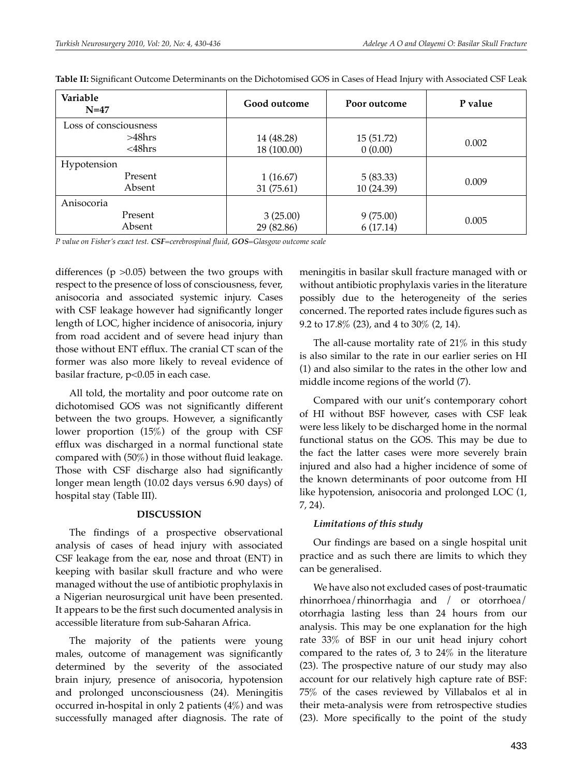| Variable<br>$N=47$    | Good outcome | Poor outcome | P value |  |
|-----------------------|--------------|--------------|---------|--|
| Loss of consciousness |              |              |         |  |
| >48hrs                | 14 (48.28)   | 15(51.72)    | 0.002   |  |
| $<$ 48 $h$ rs         | 18 (100.00)  | 0(0.00)      |         |  |
| Hypotension           |              |              |         |  |
| Present               | 1(16.67)     | 5(83.33)     | 0.009   |  |
| Absent                | 31(75.61)    | 10 (24.39)   |         |  |
| Anisocoria            |              |              |         |  |
| Present               | 3(25.00)     | 9(75.00)     | 0.005   |  |
| Absent                | 29 (82.86)   | 6(17.14)     |         |  |

**Table II:** Significant Outcome Determinants on the Dichotomised Gos in Cases of Head Injury with Associated Csf Leak

*P value on Fisher's exact test. CSF=cerebrospinal fluid, GOS=Glasgow outcome scale*

differences ( $p > 0.05$ ) between the two groups with respect to the presence of loss of consciousness, fever, anisocoria and associated systemic injury. Cases with CSF leakage however had significantly longer length of LOC, higher incidence of anisocoria, injury from road accident and of severe head injury than those without ENT efflux. The cranial CT scan of the former was also more likely to reveal evidence of basilar fracture, p<0.05 in each case.

All told, the mortality and poor outcome rate on dichotomised GOS was not significantly different between the two groups. However, a significantly lower proportion (15%) of the group with CSF efflux was discharged in a normal functional state compared with (50%) in those without fluid leakage. Those with CSF discharge also had significantly longer mean length (10.02 days versus 6.90 days) of hospital stay (Table III).

## **DISCUSSION**

The findings of a prospective observational analysis of cases of head injury with associated CSF leakage from the ear, nose and throat (ENT) in keeping with basilar skull fracture and who were managed without the use of antibiotic prophylaxis in a Nigerian neurosurgical unit have been presented. It appears to be the first such documented analysis in accessible literature from sub-Saharan Africa.

The majority of the patients were young males, outcome of management was significantly determined by the severity of the associated brain injury, presence of anisocoria, hypotension and prolonged unconsciousness (24). Meningitis occurred in-hospital in only 2 patients (4%) and was successfully managed after diagnosis. The rate of meningitis in basilar skull fracture managed with or without antibiotic prophylaxis varies in the literature possibly due to the heterogeneity of the series concerned. The reported rates include figures such as 9.2 to 17.8% (23), and 4 to 30% (2, 14).

The all-cause mortality rate of 21% in this study is also similar to the rate in our earlier series on HI (1) and also similar to the rates in the other low and middle income regions of the world (7).

Compared with our unit's contemporary cohort of HI without BSF however, cases with CSF leak were less likely to be discharged home in the normal functional status on the GOS. This may be due to the fact the latter cases were more severely brain injured and also had a higher incidence of some of the known determinants of poor outcome from HI like hypotension, anisocoria and prolonged LOC (1, 7, 24).

## *Limitations of this study*

Our findings are based on a single hospital unit practice and as such there are limits to which they can be generalised.

We have also not excluded cases of post-traumatic rhinorrhoea/rhinorrhagia and / or otorrhoea/ otorrhagia lasting less than 24 hours from our analysis. This may be one explanation for the high rate 33% of BSF in our unit head injury cohort compared to the rates of, 3 to 24% in the literature (23). The prospective nature of our study may also account for our relatively high capture rate of BSF: 75% of the cases reviewed by Villabalos et al in their meta-analysis were from retrospective studies (23). More specifically to the point of the study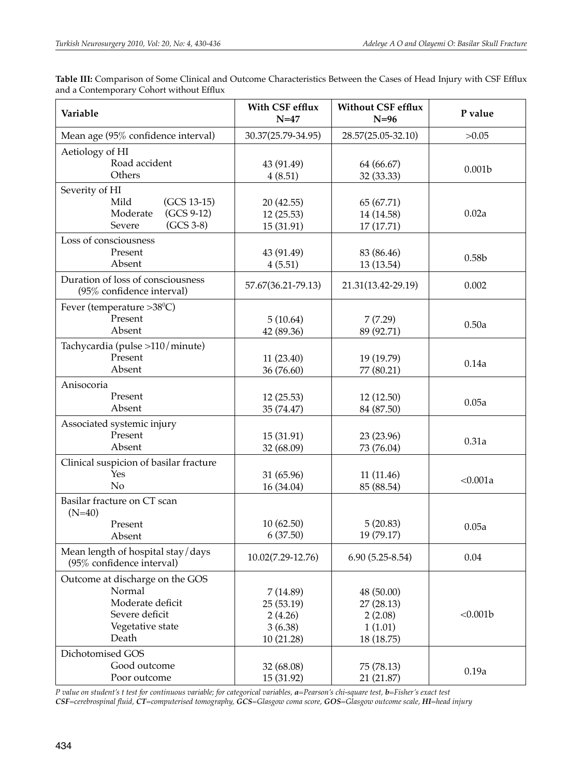| Variable                                                       | With CSF efflux<br>$N=47$ | <b>Without CSF efflux</b><br>$N=96$ | P value            |
|----------------------------------------------------------------|---------------------------|-------------------------------------|--------------------|
| Mean age (95% confidence interval)                             | 30.37(25.79-34.95)        | 28.57(25.05-32.10)                  | >0.05              |
| Aetiology of HI                                                |                           |                                     |                    |
| Road accident                                                  | 43 (91.49)                | 64 (66.67)                          | 0.001 <sub>b</sub> |
| Others                                                         | 4(8.51)                   | 32 (33.33)                          |                    |
| Severity of HI<br>Mild<br>(GCS 13-15)                          | 20 (42.55)                | 65 (67.71)                          |                    |
| $(GCS 9-12)$<br>Moderate                                       | 12 (25.53)                | 14 (14.58)                          | 0.02a              |
| $(GCS 3-8)$<br>Severe                                          | 15 (31.91)                | 17 (17.71)                          |                    |
| Loss of consciousness                                          |                           |                                     |                    |
| Present                                                        | 43 (91.49)                | 83 (86.46)                          | 0.58 <sub>b</sub>  |
| Absent                                                         | 4(5.51)                   | 13 (13.54)                          |                    |
| Duration of loss of consciousness<br>(95% confidence interval) | 57.67(36.21-79.13)        | 21.31(13.42-29.19)                  | 0.002              |
| Fever (temperature >38°C)                                      |                           |                                     |                    |
| Present                                                        | 5(10.64)                  | 7(7.29)                             | 0.50a              |
| Absent                                                         | 42 (89.36)                | 89 (92.71)                          |                    |
| Tachycardia (pulse >110/minute)                                |                           |                                     |                    |
| Present                                                        | 11(23.40)                 | 19 (19.79)                          | 0.14a              |
| Absent                                                         | 36 (76.60)                | 77 (80.21)                          |                    |
| Anisocoria                                                     |                           |                                     |                    |
| Present<br>Absent                                              | 12(25.53)<br>35 (74.47)   | 12 (12.50)<br>84 (87.50)            | 0.05a              |
| Associated systemic injury                                     |                           |                                     |                    |
| Present                                                        | 15 (31.91)                | 23 (23.96)                          |                    |
| Absent                                                         | 32 (68.09)                | 73 (76.04)                          | 0.31a              |
| Clinical suspicion of basilar fracture                         |                           |                                     |                    |
| Yes                                                            | 31 (65.96)                | 11(11.46)                           |                    |
| N <sub>o</sub>                                                 | 16 (34.04)                | 85 (88.54)                          | < 0.001a           |
| Basilar fracture on CT scan<br>$(N=40)$                        |                           |                                     |                    |
| Present                                                        | 10(62.50)                 | 5(20.83)                            | 0.05a              |
| Absent                                                         | 6(37.50)                  | 19 (79.17)                          |                    |
| Mean length of hospital stay/days<br>(95% confidence interval) | 10.02(7.29-12.76)         | $6.90(5.25-8.54)$                   | 0.04               |
| Outcome at discharge on the GOS                                |                           |                                     |                    |
| Normal                                                         | 7(14.89)                  | 48 (50.00)                          |                    |
| Moderate deficit                                               | 25(53.19)                 | 27 (28.13)                          |                    |
| Severe deficit                                                 | 2(4.26)                   | 2(2.08)                             | <0.001b            |
| Vegetative state                                               | 3(6.38)                   | 1(1.01)                             |                    |
| Death                                                          | 10 (21.28)                | 18 (18.75)                          |                    |
| Dichotomised GOS<br>Good outcome                               |                           |                                     |                    |
| Poor outcome                                                   | 32 (68.08)<br>15 (31.92)  | 75 (78.13)<br>21 (21.87)            | 0.19a              |

Table III: Comparison of Some Clinical and Outcome Characteristics Between the Cases of Head Injury with CSF Efflux and a Contemporary Cohort without Efflux

*P value on student's t test for continuous variable; for categorical variables, a=Pearson's chi-square test, b=Fisher's exact test CSF=cerebrospinal fluid, CT=computerised tomography, GCS=Glasgow coma score, GOS=Glasgow outcome scale, HI=head injury*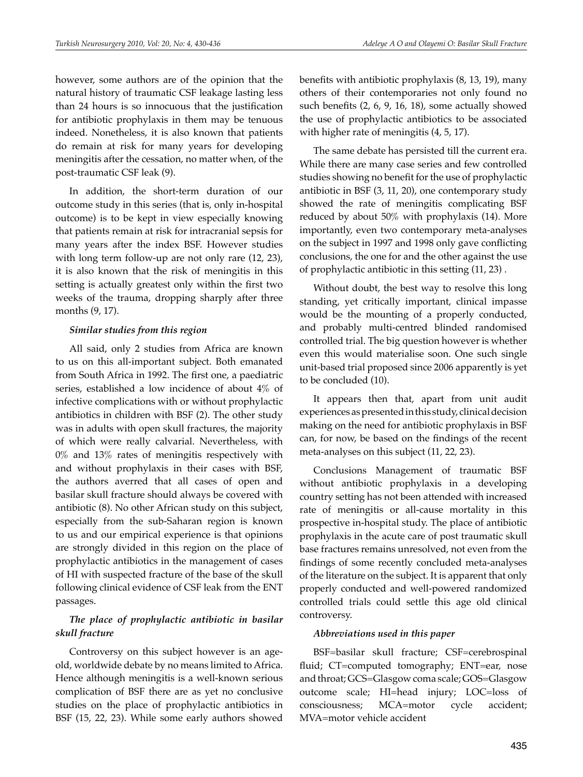however, some authors are of the opinion that the natural history of traumatic CSF leakage lasting less than 24 hours is so innocuous that the justification for antibiotic prophylaxis in them may be tenuous indeed. Nonetheless, it is also known that patients do remain at risk for many years for developing meningitis after the cessation, no matter when, of the post-traumatic CSF leak (9).

In addition, the short-term duration of our outcome study in this series (that is, only in-hospital outcome) is to be kept in view especially knowing that patients remain at risk for intracranial sepsis for many years after the index BSF. However studies with long term follow-up are not only rare  $(12, 23)$ , it is also known that the risk of meningitis in this setting is actually greatest only within the first two weeks of the trauma, dropping sharply after three months (9, 17).

## *Similar studies from this region*

All said, only 2 studies from Africa are known to us on this all-important subject. Both emanated from South Africa in 1992. The first one, a paediatric series, established a low incidence of about 4% of infective complications with or without prophylactic antibiotics in children with BSF (2). The other study was in adults with open skull fractures, the majority of which were really calvarial. Nevertheless, with 0% and 13% rates of meningitis respectively with and without prophylaxis in their cases with BSF, the authors averred that all cases of open and basilar skull fracture should always be covered with antibiotic (8). No other African study on this subject, especially from the sub-Saharan region is known to us and our empirical experience is that opinions are strongly divided in this region on the place of prophylactic antibiotics in the management of cases of HI with suspected fracture of the base of the skull following clinical evidence of CSF leak from the ENT passages.

# *The place of prophylactic antibiotic in basilar skull fracture*

Controversy on this subject however is an ageold, worldwide debate by no means limited to Africa. Hence although meningitis is a well-known serious complication of BSF there are as yet no conclusive studies on the place of prophylactic antibiotics in BSF (15, 22, 23). While some early authors showed benefits with antibiotic prophylaxis (8, 13, 19), many others of their contemporaries not only found no such benefits (2, 6, 9, 16, 18), some actually showed the use of prophylactic antibiotics to be associated with higher rate of meningitis  $(4, 5, 17)$ .

The same debate has persisted till the current era. While there are many case series and few controlled studies showing no benefit for the use of prophylactic antibiotic in BSF (3, 11, 20), one contemporary study showed the rate of meningitis complicating BSF reduced by about 50% with prophylaxis (14). More importantly, even two contemporary meta-analyses on the subject in 1997 and 1998 only gave conflicting conclusions, the one for and the other against the use of prophylactic antibiotic in this setting (11, 23) .

Without doubt, the best way to resolve this long standing, yet critically important, clinical impasse would be the mounting of a properly conducted, and probably multi-centred blinded randomised controlled trial. The big question however is whether even this would materialise soon. One such single unit-based trial proposed since 2006 apparently is yet to be concluded (10).

It appears then that, apart from unit audit experiences as presented in this study, clinical decision making on the need for antibiotic prophylaxis in BSF can, for now, be based on the findings of the recent meta-analyses on this subject (11, 22, 23).

Conclusions Management of traumatic BSF without antibiotic prophylaxis in a developing country setting has not been attended with increased rate of meningitis or all-cause mortality in this prospective in-hospital study. The place of antibiotic prophylaxis in the acute care of post traumatic skull base fractures remains unresolved, not even from the findings of some recently concluded meta-analyses of the literature on the subject. It is apparent that only properly conducted and well-powered randomized controlled trials could settle this age old clinical controversy.

## *Abbreviations used in this paper*

BSF=basilar skull fracture; CSF=cerebrospinal fluid; CT=computed tomography; ENT=ear, nose and throat; GCS=Glasgow coma scale; GOS=Glasgow outcome scale; HI=head injury; LOC=loss of consciousness; MCA=motor cycle accident; MVA=motor vehicle accident